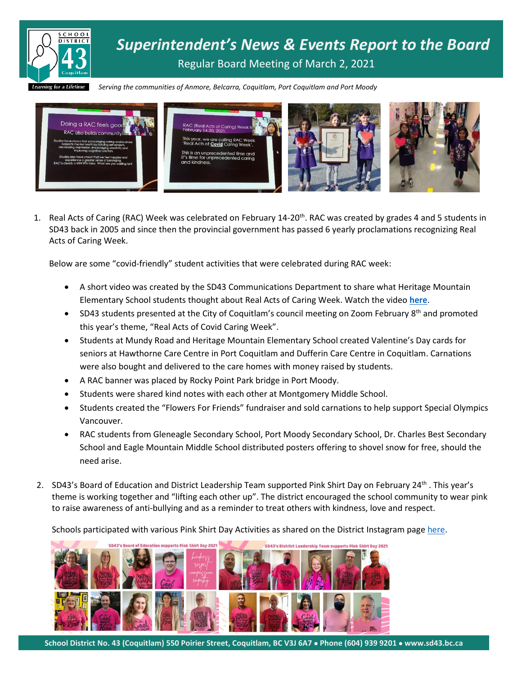

*Serving the communities of Anmore, Belcarra, Coquitlam, Port Coquitlam and Port Moody*



1. Real Acts of Caring (RAC) Week was celebrated on February 14-20<sup>th</sup>. RAC was created by grades 4 and 5 students in SD43 back in 2005 and since then the provincial government has passed 6 yearly proclamations recognizing Real Acts of Caring Week.

Below are some "covid-friendly" student activities that were celebrated during RAC week:

- A short video was created by the SD43 Communications Department to share what Heritage Mountain Elementary School students thought about Real Acts of Caring Week. Watch the video **[here](https://fb.watch/3PQVEMFGWh/)**.
- SD43 students presented at the City of Coquitlam's council meeting on Zoom February 8<sup>th</sup> and promoted this year's theme, "Real Acts of Covid Caring Week".
- Students at Mundy Road and Heritage Mountain Elementary School created Valentine's Day cards for seniors at Hawthorne Care Centre in Port Coquitlam and Dufferin Care Centre in Coquitlam. Carnations were also bought and delivered to the care homes with money raised by students.
- A RAC banner was placed by Rocky Point Park bridge in Port Moody.
- Students were shared kind notes with each other at Montgomery Middle School.
- Students created the "Flowers For Friends" fundraiser and sold carnations to help support Special Olympics Vancouver.
- RAC students from Gleneagle Secondary School, Port Moody Secondary School, Dr. Charles Best Secondary School and Eagle Mountain Middle School distributed posters offering to shovel snow for free, should the need arise.
- 2. SD43's Board of Education and District Leadership Team supported Pink Shirt Day on February 24th. This year's theme is working together and "lifting each other up". The district encouraged the school community to wear pink to raise awareness of anti-bullying and as a reminder to treat others with kindness, love and respect.

Schools participated with various Pink Shirt Day Activities as shared on the District Instagram page [here.](https://www.instagram.com/p/CLshXDwh9XP/?utm_source=ig_web_copy_link)



**School District No. 43 (Coquitlam) 550 Poirier Street, Coquitlam, BC V3J 6A7** • **Phone (604) 939 9201** • **www.sd43.bc.ca**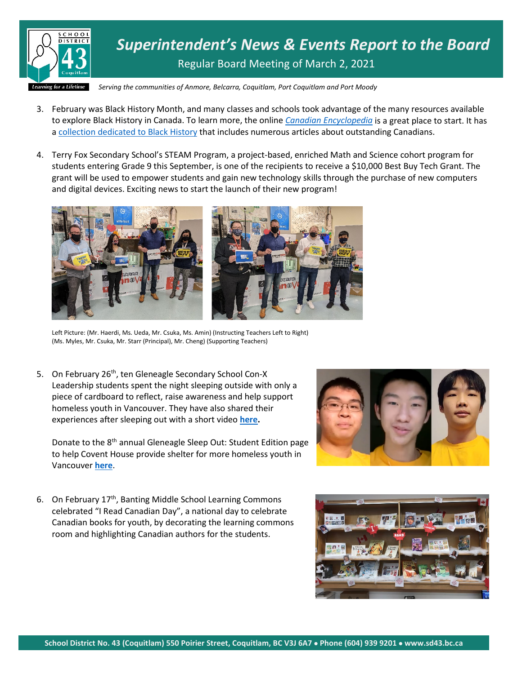

*Superintendent's News & Events Report to the Board* Regular Board Meeting of March 2, 2021

*Serving the communities of Anmore, Belcarra, Coquitlam, Port Coquitlam and Port Moody*

- 3. February was Black History Month, and many classes and schools took advantage of the many resources available to explore Black History in Canada. To learn more, the online *[Canadian Encyclopedia](https://www.thecanadianencyclopedia.ca/en/)* is a great place to start. It has [a collection dedicated to Black History](https://www.thecanadianencyclopedia.ca/en/collection/black-history-in-canada) that includes numerous articles about outstanding Canadians.
- 4. Terry Fox Secondary School's STEAM Program, a project-based, enriched Math and Science cohort program for students entering Grade 9 this September, is one of the recipients to receive a \$10,000 Best Buy Tech Grant. The grant will be used to empower students and gain new technology skills through the purchase of new computers and digital devices. Exciting news to start the launch of their new program!



Left Picture: (Mr. Haerdi, Ms. Ueda, Mr. Csuka, Ms. Amin) (Instructing Teachers Left to Right) (Ms. Myles, Mr. Csuka, Mr. Starr (Principal), Mr. Cheng) (Supporting Teachers)

5. On February 26<sup>th</sup>, ten Gleneagle Secondary School Con-X Leadership students spent the night sleeping outside with only a piece of cardboard to reflect, raise awareness and help support homeless youth in Vancouver. They have also shared their experiences after sleeping out with a short video **[here.](https://www.sd43.bc.ca/Lists/Documents/Sleepout%20Final%20(short).mp4)**

Donate to the 8th annual Gleneagle Sleep Out: Student Edition page to help Covent House provide shelter for more homeless youth in Vancouver **[here](http://ow.ly/4te150DKcel)**.



6. On February 17<sup>th</sup>, Banting Middle School Learning Commons celebrated "I Read Canadian Day", a national day to celebrate Canadian books for youth, by decorating the learning commons room and highlighting Canadian authors for the students.